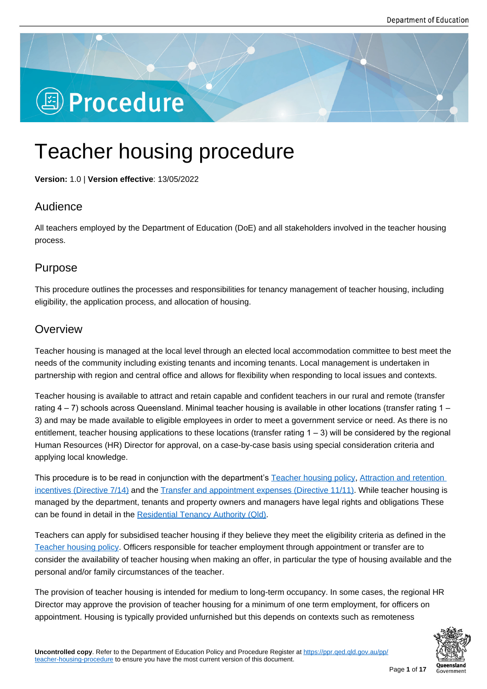# **图 Procedure**

## Teacher housing procedure

**Version:** 1.0 | **Version effective**: 13/05/2022

## Audience

All teachers employed by the Department of Education (DoE) and all stakeholders involved in the teacher housing process.

## Purpose

This procedure outlines the processes and responsibilities for tenancy management of teacher housing, including eligibility, the application process, and allocation of housing.

## **Overview**

Teacher housing is managed at the local level through an elected local accommodation committee to best meet the needs of the community including existing tenants and incoming tenants. Local management is undertaken in partnership with region and central office and allows for flexibility when responding to local issues and contexts.

Teacher housing is available to attract and retain capable and confident teachers in our rural and remote (transfer rating 4 – 7) schools across Queensland. Minimal teacher housing is available in other locations (transfer rating 1 – 3) and may be made available to eligible employees in order to meet a government service or need. As there is no entitlement, teacher housing applications to these locations (transfer rating 1 – 3) will be considered by the regional Human Resources (HR) Director for approval, on a case-by-case basis using special consideration criteria and applying local knowledge.

This procedure is to be read in conjunction with the department's Teacher housing policy, Attraction and retention incentives (Directive 7/14) and the Transfer and appointment expenses (Directive 11/11). While teacher housing is managed by the department, tenants and property owners and managers have legal rights and obligations These can be found in detail in the Residential Tenancy Authority (Qld).

[Teachers can apply for su](https://www.forgov.qld.gov.au/employment-policy-career-and-wellbeing/directives-policies-circulars-and-guidelines/attraction-and-retention-incentives-directive-0714)bsidised [teacher housing if they believe they meet the eligibilit](https://www.forgov.qld.gov.au/employment-policy-career-and-wellbeing/directives-policies-circulars-and-guidelines/transfer-and-appointment-expenses-directive-1111)y criteria as defined in the Teacher housing policy. Officers responsible for teacher employment through appointment or transfer are to consider the availability of t[eacher housing when making an offe](https://www.rta.qld.gov.au/)r, in particular the type of housing available and the personal and/or family circumstances of the teacher.

[The provision of teache](https://ppr.qed.qld.gov.au/pp/teacher-housing-policy)r housing is intended for medium to long-term occupancy. In some cases, the regional HR Director may approve the provision of teacher housing for a minimum of one term employment, for officers on appointment. Housing is typically provided unfurnished but this depends on contexts such as remoteness

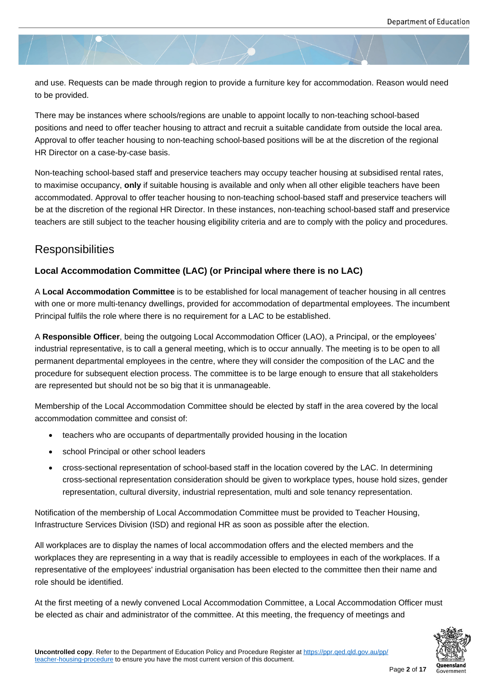and use. Requests can be made through region to provide a furniture key for accommodation. Reason would need to be provided.

There may be instances where schools/regions are unable to appoint locally to non-teaching school-based positions and need to offer teacher housing to attract and recruit a suitable candidate from outside the local area. Approval to offer teacher housing to non-teaching school-based positions will be at the discretion of the regional HR Director on a case-by-case basis.

Non-teaching school-based staff and preservice teachers may occupy teacher housing at subsidised rental rates, to maximise occupancy, **only** if suitable housing is available and only when all other eligible teachers have been accommodated. Approval to offer teacher housing to non-teaching school-based staff and preservice teachers will be at the discretion of the regional HR Director. In these instances, non-teaching school-based staff and preservice teachers are still subject to the teacher housing eligibility criteria and are to comply with the policy and procedures.

## **Responsibilities**

### **Local Accommodation Committee (LAC) (or Principal where there is no LAC)**

A **Local Accommodation Committee** is to be established for local management of teacher housing in all centres with one or more multi-tenancy dwellings, provided for accommodation of departmental employees. The incumbent Principal fulfils the role where there is no requirement for a LAC to be established.

A **Responsible Officer**, being the outgoing Local Accommodation Officer (LAO), a Principal, or the employees' industrial representative, is to call a general meeting, which is to occur annually. The meeting is to be open to all permanent departmental employees in the centre, where they will consider the composition of the LAC and the procedure for subsequent election process. The committee is to be large enough to ensure that all stakeholders are represented but should not be so big that it is unmanageable.

Membership of the Local Accommodation Committee should be elected by staff in the area covered by the local accommodation committee and consist of:

- teachers who are occupants of departmentally provided housing in the location
- school Principal or other school leaders
- cross-sectional representation of school-based staff in the location covered by the LAC. In determining cross-sectional representation consideration should be given to workplace types, house hold sizes, gender representation, cultural diversity, industrial representation, multi and sole tenancy representation.

Notification of the membership of Local Accommodation Committee must be provided to Teacher Housing, Infrastructure Services Division (ISD) and regional HR as soon as possible after the election.

All workplaces are to display the names of local accommodation offers and the elected members and the workplaces they are representing in a way that is readily accessible to employees in each of the workplaces. If a representative of the employees' industrial organisation has been elected to the committee then their name and role should be identified.

At the first meeting of a newly convened Local Accommodation Committee, a Local Accommodation Officer must be elected as chair and administrator of the committee. At this meeting, the frequency of meetings and

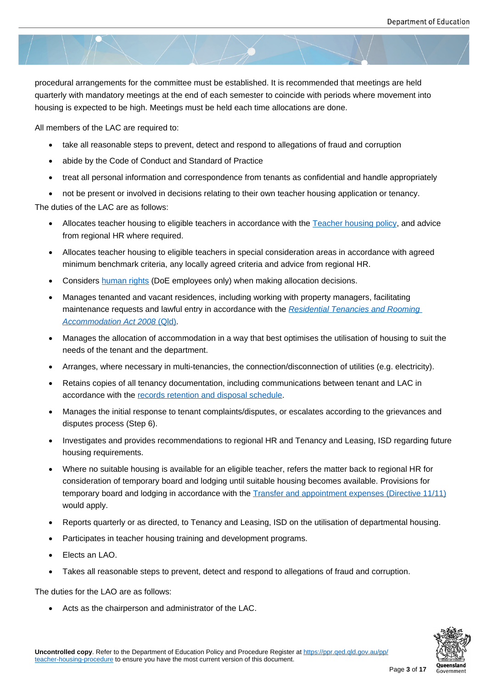procedural arrangements for the committee must be established. It is recommended that meetings are held quarterly with mandatory meetings at the end of each semester to coincide with periods where movement into housing is expected to be high. Meetings must be held each time allocations are done.

All members of the LAC are required to:

- take all reasonable steps to prevent, detect and respond to allegations of fraud and corruption
- abide by the Code of Conduct and Standard of Practice
- treat all personal information and correspondence from tenants as confidential and handle appropriately
- not be present or involved in decisions relating to their own teacher housing application or tenancy.

The duties of the LAC are as follows:

- Allocates teacher housing to eligible teachers in accordance with the Teacher housing policy, and advice from regional HR where required.
- Allocates teacher housing to eligible teachers in special consideration areas in accordance with agreed minimum benchmark criteria, any locally agreed criteria and advice fr[om regional HR.](https://ppr.qed.qld.gov.au/pp/teacher-housing-policy)
- Considers human rights (DoE employees only) when making allocation decisions.
- Manages tenanted and vacant residences, including working with property managers, facilitating maintenance requests and lawful entry in accordance with the *Residential Tenancies and Rooming Accommo[dation Act 200](https://intranet.qed.qld.gov.au/about/PrioritiesandInitiatives/Pages/human-rights-act-2019.aspx)8* (Qld).
- Manages the allocation of accommodation in a way that best optimises the utilisation of housing to suit the needs of the tenant and the department.
- [Arranges, where necessary in m](https://www.legislation.qld.gov.au/view/html/inforce/current/act-2008-073)ulti-tenancies, the connection/disconnection of utilities (e.g. electricity).
- Retains copies of all tenancy documentation, including communications between tenant and LAC in accordance with the records retention and disposal schedule.
- Manages the initial response to tenant complaints/disputes, or escalates according to the grievances and disputes process (Step 6).
- Investigates and pro[vides recommendations to regional HR a](https://www.forgov.qld.gov.au/schedules/general-retention-and-disposal-schedule-grds)nd Tenancy and Leasing, ISD regarding future housing requirements.
- Where no suitable housing is available for an eligible teacher, refers the matter back to regional HR for consideration of temporary board and lodging until suitable housing becomes available. Provisions for temporary board and lodging in accordance with the Transfer and appointment expenses (Directive 11/11) would apply.
- Reports quarterly or as directed, to Tenancy and Leasing, ISD on the utilisation of departmental housing.
- Participates in teacher housing training and develop[ment programs.](https://www.forgov.qld.gov.au/employment-policy-career-and-wellbeing/directives-policies-circulars-and-guidelines/transfer-and-appointment-expenses-directive-1111)
- Elects an LAO.
- Takes all reasonable steps to prevent, detect and respond to allegations of fraud and corruption.

The duties for the LAO are as follows:

Acts as the chairperson and administrator of the LAC.

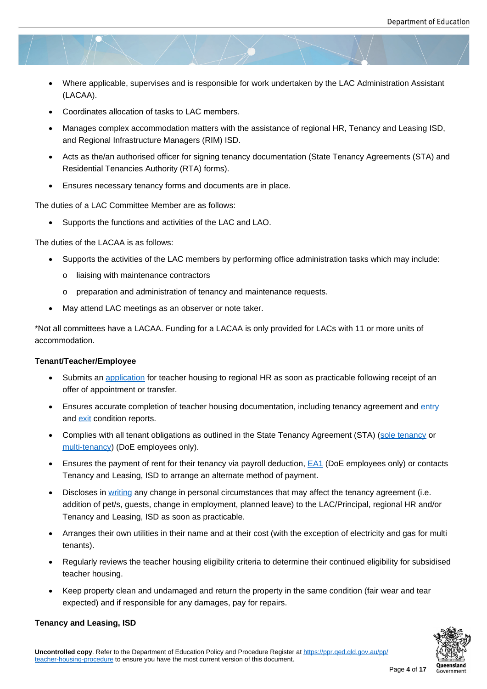- Where applicable, supervises and is responsible for work undertaken by the LAC Administration Assistant (LACAA).
- Coordinates allocation of tasks to LAC members.
- Manages complex accommodation matters with the assistance of regional HR, Tenancy and Leasing ISD, and Regional Infrastructure Managers (RIM) ISD.
- Acts as the/an authorised officer for signing tenancy documentation (State Tenancy Agreements (STA) and Residential Tenancies Authority (RTA) forms).
- Ensures necessary tenancy forms and documents are in place.

The duties of a LAC Committee Member are as follows:

Supports the functions and activities of the LAC and LAO.

The duties of the LACAA is as follows:

- Supports the activities of the LAC members by performing office administration tasks which may include:
	- o liaising with maintenance contractors
	- o preparation and administration of tenancy and maintenance requests.
- May attend LAC meetings as an observer or note taker.

\*Not all committees have a LACAA. Funding for a LACAA is only provided for LACs with 11 or more units of accommodation.

#### **Tenant/Teacher/Employee**

- Submits an application for teacher housing to regional HR as soon as practicable following receipt of an offer of appointment or transfer.
- Ensures accurate completion of teacher housing documentation, including tenancy agreement and entry and **exit** co[ndition repo](https://ppr.qed.qld.gov.au/attachment/teacher-housing-application-form.docx)rts.
- Complies with all tenant obligations as outlined in the State Tenancy Agreement (STA) (sole tenancy or multi-tenancy) (DoE employees only).
- Ens[ures](https://www.rta.qld.gov.au/Forms-and-publications/Forms/Forms-for-general-tenancies/Exit-condition-report-Form-14a) the payment of rent for their tenancy via payroll deduction, **EA1** (DoE employees only) or contacts Tenancy and Leasing, ISD to arrange an alternate method of payment.
- [Discloses in w](https://intranet.qed.qld.gov.au/Services/facilities/Forms/Documents/MultiStateTenancyAgreementTemplate.doc)riting any change in personal circumstances that may affect the tenancy agreement (i.e. addition of pet/s, guests, change in employment, planned leave) to [the L](https://intranet.qed.qld.gov.au/Services/facilities/Forms/Documents/EA1-tenancyadviceandauthorityforrentalpaymentdeductions.docx)AC/Principal, regional HR and/or Tenancy and Leasing, ISD as soon as practicable.
- Arranges th[eir own](https://ppr.qed.qld.gov.au/attachment/change-of-personal-details-form.docx) utilities in their name and at their cost (with the exception of electricity and gas for multi tenants).
- Regularly reviews the teacher housing eligibility criteria to determine their continued eligibility for subsidised teacher housing.
- Keep property clean and undamaged and return the property in the same condition (fair wear and tear expected) and if responsible for any damages, pay for repairs.



#### **Tenancy and Leasing, ISD**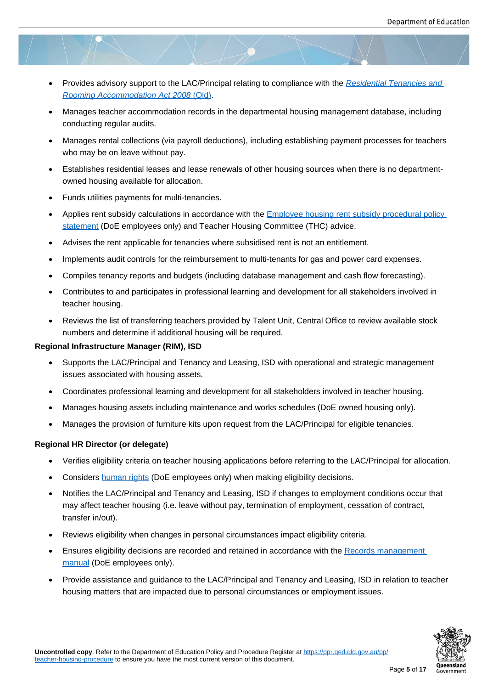- Provides advisory support to the LAC/Principal relating to compliance with the *Residential Tenancies and Rooming Accommodation Act 2008* (Qld).
- Manages teacher accommodation records in the departmental housing management database, including conducting regular audits.
- [Manages rental collections \(via payroll de](https://www.legislation.qld.gov.au/view/html/inforce/current/act-2008-073)ductions), including establishing payment processes for teachers who may be on leave without pay.
- Establishes residential leases and lease renewals of other housing sources when there is no departmentowned housing available for allocation.
- Funds utilities payments for multi-tenancies.
- Applies rent subsidy calculations in accordance with the Employee housing rent subsidy procedural policy statement (DoE employees only) and Teacher Housing Committee (THC) advice.
- Advises the rent applicable for tenancies where subsidised rent is not an entitlement.
- [Implemen](https://intranet.qed.qld.gov.au/Services/facilities/Forms/Documents/Employeehousingrentsubsidypolicy.pdf)ts audit controls for the reimbursement to mult[i-tenants for gas and power card expenses.](https://intranet.qed.qld.gov.au/Services/facilities/Forms/Documents/Employeehousingrentsubsidypolicy.pdf)
- Compiles tenancy reports and budgets (including database management and cash flow forecasting).
- Contributes to and participates in professional learning and development for all stakeholders involved in teacher housing.
- Reviews the list of transferring teachers provided by Talent Unit, Central Office to review available stock numbers and determine if additional housing will be required.

#### **Regional Infrastructure Manager (RIM), ISD**

- Supports the LAC/Principal and Tenancy and Leasing, ISD with operational and strategic management issues associated with housing assets.
- Coordinates professional learning and development for all stakeholders involved in teacher housing.
- Manages housing assets including maintenance and works schedules (DoE owned housing only).
- Manages the provision of furniture kits upon request from the LAC/Principal for eligible tenancies.

#### **Regional HR Director (or delegate)**

- Verifies eligibility criteria on teacher housing applications before referring to the LAC/Principal for allocation.
- Considers human rights (DoE employees only) when making eligibility decisions.
- Notifies the LAC/Principal and Tenancy and Leasing, ISD if changes to employment conditions occur that may affect teacher housing (i.e. leave without pay, termination of employment, cessation of contract, transfer in/[out\).](https://intranet.qed.qld.gov.au/about/PrioritiesandInitiatives/Pages/human-rights-act-2019.aspx)
- Reviews eligibility when changes in personal circumstances impact eligibility criteria.
- Ensures eligibility decisions are recorded and retained in accordance with the Records management manual (DoE employees only).
- Provide assistance and guidance to the LAC/Principal and Tenancy and Leasing, ISD in relation to teacher housing matters that are impacted due to personal circumstances or employ[ment issues.](https://intranet.qed.qld.gov.au/Services/InformationTechnology/information-management/information-management-toolkit/recordkeeping)

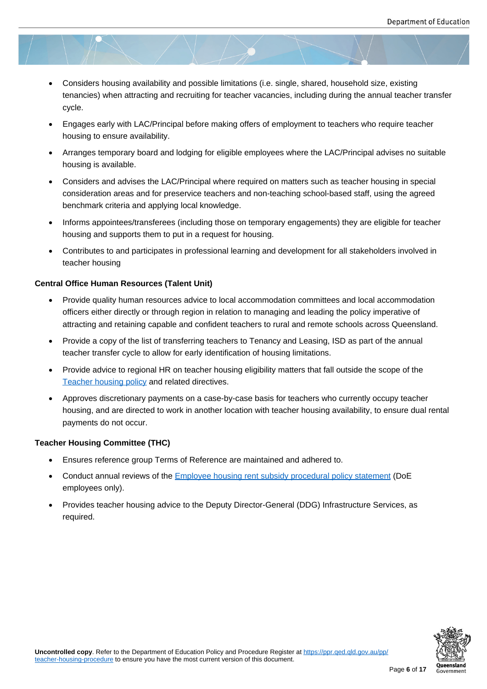- Considers housing availability and possible limitations (i.e. single, shared, household size, existing tenancies) when attracting and recruiting for teacher vacancies, including during the annual teacher transfer cycle.
- Engages early with LAC/Principal before making offers of employment to teachers who require teacher housing to ensure availability.
- Arranges temporary board and lodging for eligible employees where the LAC/Principal advises no suitable housing is available.
- Considers and advises the LAC/Principal where required on matters such as teacher housing in special consideration areas and for preservice teachers and non-teaching school-based staff, using the agreed benchmark criteria and applying local knowledge.
- Informs appointees/transferees (including those on temporary engagements) they are eligible for teacher housing and supports them to put in a request for housing.
- Contributes to and participates in professional learning and development for all stakeholders involved in teacher housing

#### **Central Office Human Resources (Talent Unit)**

- Provide quality human resources advice to local accommodation committees and local accommodation officers either directly or through region in relation to managing and leading the policy imperative of attracting and retaining capable and confident teachers to rural and remote schools across Queensland.
- Provide a copy of the list of transferring teachers to Tenancy and Leasing, ISD as part of the annual teacher transfer cycle to allow for early identification of housing limitations.
- Provide advice to regional HR on teacher housing eligibility matters that fall outside the scope of the Teacher housing policy and related directives.
- Approves discretionary payments on a case-by-case basis for teachers who currently occupy teacher housing, and are directed to work in another location with teacher housing availability, to ensure dual rental [payments do not occur.](https://ppr.qed.qld.gov.au/pp/teacher-housing-policy)

#### **Teacher Housing Committee (THC)**

- Ensures reference group Terms of Reference are maintained and adhered to.
- Conduct annual reviews of the **Employee housing rent subsidy procedural policy statement** (DoE employees only).
- Provides teacher housing advice to the Deputy Director-General (DDG) Infrastructure Services, as required.

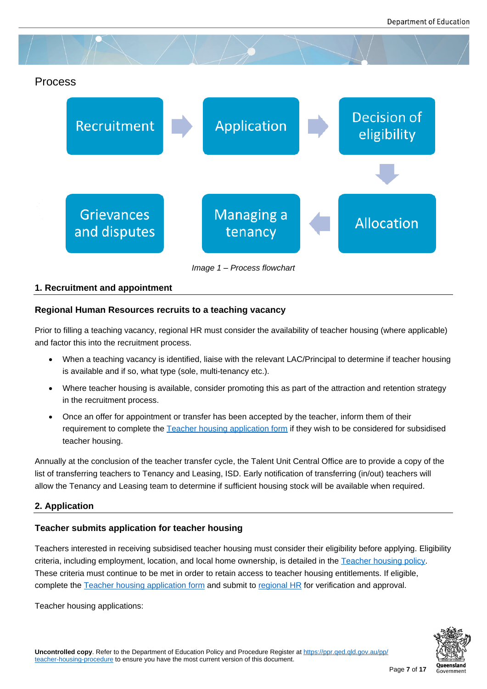## Process



*Image 1 – Process flowchart*

#### **1. Recruitment and appointment**

#### **Regional Human Resources recruits to a teaching vacancy**

Prior to filling a teaching vacancy, regional HR must consider the availability of teacher housing (where applicable) and factor this into the recruitment process.

- When a teaching vacancy is identified, liaise with the relevant LAC/Principal to determine if teacher housing is available and if so, what type (sole, multi-tenancy etc.).
- Where teacher housing is available, consider promoting this as part of the attraction and retention strategy in the recruitment process.
- Once an offer for appointment or transfer has been accepted by the teacher, inform them of their requirement to complete the Teacher housing application form if they wish to be considered for subsidised teacher housing.

Annually at the conclusion of the teacher transfer cycle, the Talent Unit Central Office are to provide a copy of the list of transferring teachers to Tenan[cy and Leasing, ISD. Early notifica](https://ppr.qed.qld.gov.au/attachment/teacher-housing-application-form.docx)tion of transferring (in/out) teachers will allow the Tenancy and Leasing team to determine if sufficient housing stock will be available when required.

#### **2. Application**

#### **Teacher submits application for teacher housing**

Teachers interested in receiving subsidised teacher housing must consider their eligibility before applying. Eligibility criteria, including employment, location, and local home ownership, is detailed in the Teacher housing policy. These criteria must continue to be met in order to retain access to teacher housing entitlements. If eligible, complete the Teacher housing application form and submit to regional HR for verification and approval.

Teacher housing applications:

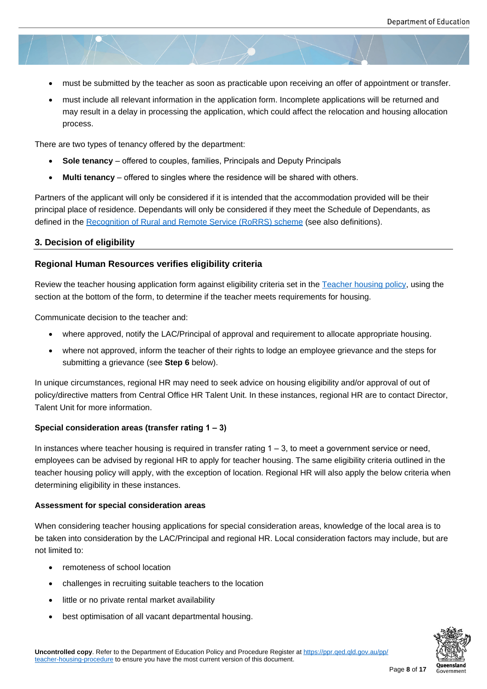- must be submitted by the teacher as soon as practicable upon receiving an offer of appointment or transfer.
- must include all relevant information in the application form. Incomplete applications will be returned and may result in a delay in processing the application, which could affect the relocation and housing allocation process.

There are two types of tenancy offered by the department:

- **Sole tenancy** offered to couples, families, Principals and Deputy Principals
- **Multi tenancy** offered to singles where the residence will be shared with others.

Partners of the applicant will only be considered if it is intended that the accommodation provided will be their principal place of residence. Dependants will only be considered if they meet the Schedule of Dependants, as defined in the Recognition of Rural and Remote Service (RoRRS) scheme (see also definitions).

#### **3. Decision of eligibility**

#### **Regional H[uman Resources verifies eligibility criteria](https://teach.qld.gov.au/teach-in-queensland-state-schools/pay-benefits-and-incentives/rural-and-remote-benefits)**

Review the teacher housing application form against eligibility criteria set in the Teacher housing policy, using the section at the bottom of the form, to determine if the teacher meets requirements for housing.

Communicate decision to the teacher and:

- where approved, notify the LAC/Principal of approval and requirement to allocate appropriate housing.
- where not approved, inform the teacher of their rights to lodge an employee grievance and the steps for submitting a grievance (see **Step 6** below).

In unique circumstances, regional HR may need to seek advice on housing eligibility and/or approval of out of policy/directive matters from Central Office HR Talent Unit. In these instances, regional HR are to contact Director, Talent Unit for more information.

#### **Special consideration areas (transfer rating 1 – 3)**

In instances where teacher housing is required in transfer rating  $1 - 3$ , to meet a government service or need, employees can be advised by regional HR to apply for teacher housing. The same eligibility criteria outlined in the teacher housing policy will apply, with the exception of location. Regional HR will also apply the below criteria when determining eligibility in these instances.

#### **Assessment for special consideration areas**

When considering teacher housing applications for special consideration areas, knowledge of the local area is to be taken into consideration by the LAC/Principal and regional HR. Local consideration factors may include, but are not limited to:

- remoteness of school location
- challenges in recruiting suitable teachers to the location
- little or no private rental market availability
- best optimisation of all vacant departmental housing.

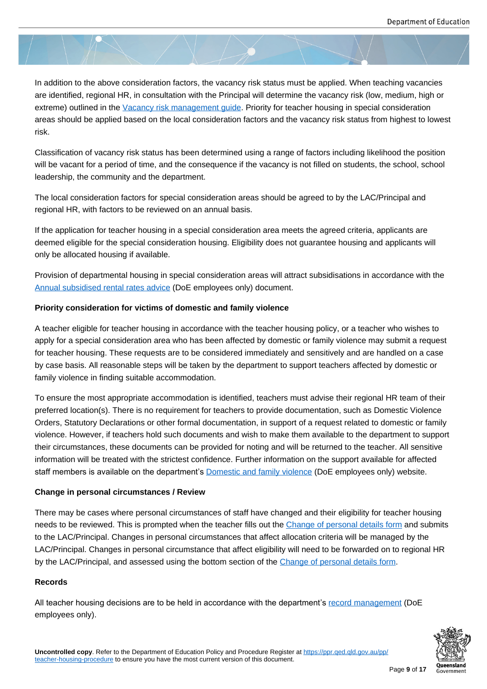In addition to the above consideration factors, the vacancy risk status must be applied. When teaching vacancies are identified, regional HR, in consultation with the Principal will determine the vacancy risk (low, medium, high or extreme) outlined in the Vacancy risk management guide. Priority for teacher housing in special consideration areas should be applied based on the local consideration factors and the vacancy risk status from highest to lowest risk.

Classification of vacanc[y risk status has been determined](https://ppr.qed.qld.gov.au/attachment/vacancy-risk-management-guide.pdf) using a range of factors including likelihood the position will be vacant for a period of time, and the consequence if the vacancy is not filled on students, the school, school leadership, the community and the department.

The local consideration factors for special consideration areas should be agreed to by the LAC/Principal and regional HR, with factors to be reviewed on an annual basis.

If the application for teacher housing in a special consideration area meets the agreed criteria, applicants are deemed eligible for the special consideration housing. Eligibility does not guarantee housing and applicants will only be allocated housing if available.

Provision of departmental housing in special consideration areas will attract subsidisations in accordance with the Annual subsidised rental rates advice (DoE employees only) document.

#### **Priority consideration for victims of domestic and family violence**

[A teacher eligible for teacher housing](https://intranet.qed.qld.gov.au/Services/facilities/asset-management/employee-housing/Documents/annual-subsidised-rental-rates-advice.pdf) in accordance with the teacher housing policy, or a teacher who wishes to apply for a special consideration area who has been affected by domestic or family violence may submit a request for teacher housing. These requests are to be considered immediately and sensitively and are handled on a case by case basis. All reasonable steps will be taken by the department to support teachers affected by domestic or family violence in finding suitable accommodation.

To ensure the most appropriate accommodation is identified, teachers must advise their regional HR team of their preferred location(s). There is no requirement for teachers to provide documentation, such as Domestic Violence Orders, Statutory Declarations or other formal documentation, in support of a request related to domestic or family violence. However, if teachers hold such documents and wish to make them available to the department to support their circumstances, these documents can be provided for noting and will be returned to the teacher. All sensitive information will be treated with the strictest confidence. Further information on the support available for affected staff members is available on the department's **Domestic and family violence** (DoE employees only) website.

#### **Change in personal circumstances / Review**

There may be cases where personal circumsta[nces of staff have changed an](https://intranet.qed.qld.gov.au/about/PrioritiesandInitiatives/EndingDFV/Pages/default.aspx)d their eligibility for teacher housing needs to be reviewed. This is prompted when the teacher fills out the Change of personal details form and submits to the LAC/Principal. Changes in personal circumstances that affect allocation criteria will be managed by the LAC/Principal. Changes in personal circumstance that affect eligibility will need to be forwarded on to regional HR by the LAC/Principal, and assessed using the bottom section of the C[hange of personal details form.](https://ppr.qed.qld.gov.au/attachment/change-of-personal-details-form.docx)

#### **Records**

All teacher housing decisions are to be held in accordance with the [department's](https://ppr.qed.qld.gov.au/attachment/change-of-personal-details-form.docx) [record managemen](https://ppr.qed.qld.gov.au/attachment/change-of-personal-details-form.docx)t (DoE employees only).

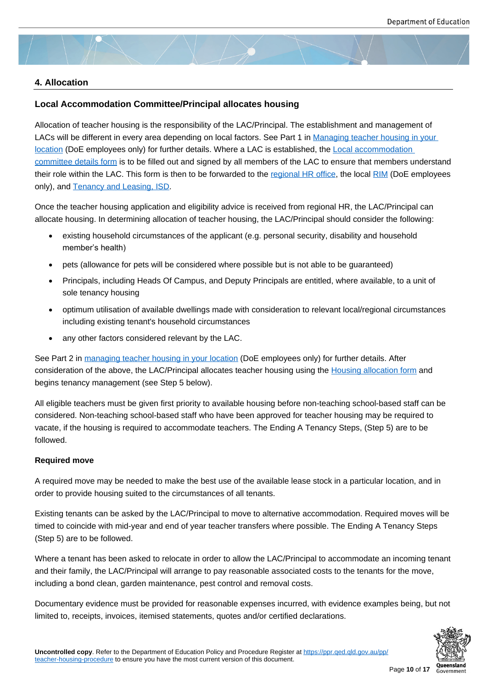#### **4. Allocation**

#### **Local Accommodation Committee/Principal allocates housing**

Allocation of teacher housing is the responsibility of the LAC/Principal. The establishment and management of LACs will be different in every area depending on local factors. See Part 1 in Managing teacher housing in your location (DoE employees only) for further details. Where a LAC is established, the Local accommodation committee details form is to be filled out and signed by all members of the LAC to ensure that members understand their role within the LAC. This form is then to be forwarded to the regional H[R office, the local RIM \(DoE employe](https://intranet.qed.qld.gov.au/Services/facilities/Documents/managing-teacher-housing-in-your-location.docx)es [only\), an](https://intranet.qed.qld.gov.au/Services/facilities/Documents/managing-teacher-housing-in-your-location.docx)d Tenancy and Leasing, ISD.

[Once the teacher hous](https://ppr.qed.qld.gov.au/attachment/local-accommodation-committee-details-form.docx)ing application and eligibility advice is received from regional HR, the LAC/Principal can allocate h[ousing. In determining alloc](mailto:ISB.TenancyLeasing@qed.qld.gov.au)ation of teacher housing, th[e LAC/Principal sho](https://education.qld.gov.au/contact-us/state-schools-regional-contacts)uld consi[der t](https://intranet.qed.qld.gov.au/Services/facilities/asset-advice/Pages/regional-advisory-infrastructure-services.aspx)he following:

- existing household circumstances of the applicant (e.g. personal security, disability and household member's health)
- pets (allowance for pets will be considered where possible but is not able to be guaranteed)
- Principals, including Heads Of Campus, and Deputy Principals are entitled, where available, to a unit of sole tenancy housing
- optimum utilisation of available dwellings made with consideration to relevant local/regional circumstances including existing tenant's household circumstances
- any other factors considered relevant by the LAC.

See Part 2 in managing teacher housing in your location (DoE employees only) for further details. After consideration of the above, the LAC/Principal allocates teacher housing using the Housing allocation form and begins tenancy management (see Step 5 below).

All eligible te[achers must be given first priority to availabl](https://intranet.qed.qld.gov.au/Services/facilities/Documents/managing-teacher-housing-in-your-location.docx)e housing before non-teaching school-based staff can be considered. Non-teaching school-based staff who have been approved for teache[r housing may be require](https://ppr.qed.qld.gov.au/attachment/housing-allocation-form.docx)d to vacate, if the housing is required to accommodate teachers. The Ending A Tenancy Steps, (Step 5) are to be followed.

#### **Required move**

A required move may be needed to make the best use of the available lease stock in a particular location, and in order to provide housing suited to the circumstances of all tenants.

Existing tenants can be asked by the LAC/Principal to move to alternative accommodation. Required moves will be timed to coincide with mid-year and end of year teacher transfers where possible. The Ending A Tenancy Steps (Step 5) are to be followed.

Where a tenant has been asked to relocate in order to allow the LAC/Principal to accommodate an incoming tenant and their family, the LAC/Principal will arrange to pay reasonable associated costs to the tenants for the move, including a bond clean, garden maintenance, pest control and removal costs.

Documentary evidence must be provided for reasonable expenses incurred, with evidence examples being, but not limited to, receipts, invoices, itemised statements, quotes and/or certified declarations.

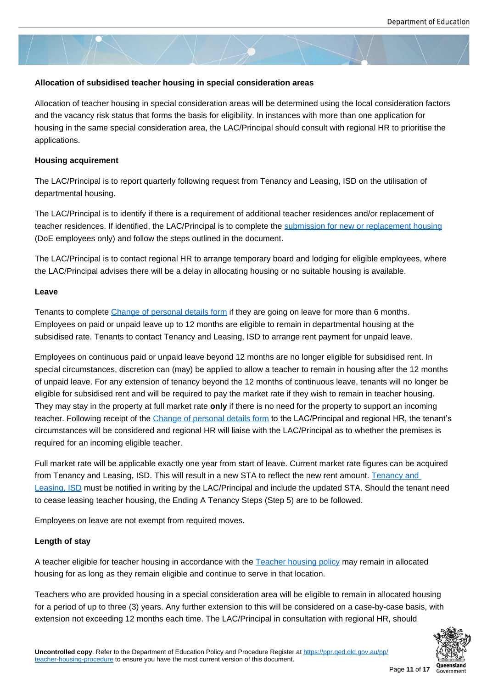#### **Allocation of subsidised teacher housing in special consideration areas**

Allocation of teacher housing in special consideration areas will be determined using the local consideration factors and the vacancy risk status that forms the basis for eligibility. In instances with more than one application for housing in the same special consideration area, the LAC/Principal should consult with regional HR to prioritise the applications.

#### **Housing acquirement**

The LAC/Principal is to report quarterly following request from Tenancy and Leasing, ISD on the utilisation of departmental housing.

The LAC/Principal is to identify if there is a requirement of additional teacher residences and/or replacement of teacher residences. If identified, the LAC/Principal is to complete the submission for new or replacement housing (DoE employees only) and follow the steps outlined in the document.

The LAC/Principal is to contact regional HR to arrange temporary board and lodging for eligible employees, where the LAC/Principal advises there will be a delay in allocating housing [or no suitable housing is available.](https://intranet.qed.qld.gov.au/Services/facilities/Forms/Documents/lac-submission-new-replacement-housing-form-n.pdf)

#### **Leave**

Tenants to complete Change of personal details form if they are going on leave for more than 6 months. Employees on paid or unpaid leave up to 12 months are eligible to remain in departmental housing at the subsidised rate. Tenants to contact Tenancy and Leasing, ISD to arrange rent payment for unpaid leave.

Employees on contin[uous paid or unpaid leave beyon](https://ppr.qed.qld.gov.au/attachment/change-of-personal-details-form.docx)d 12 months are no longer eligible for subsidised rent. In special circumstances, discretion can (may) be applied to allow a teacher to remain in housing after the 12 months of unpaid leave. For any extension of tenancy beyond the 12 months of continuous leave, tenants will no longer be eligible for subsidised rent and will be required to pay the market rate if they wish to remain in teacher housing. They may stay in the property at full market rate **only** if there is no need for the property to support an incoming teacher. Following receipt of the Change of personal details form to the LAC/Principal and regional HR, the tenant's circumstances will be considered and regional HR will liaise with the LAC/Principal as to whether the premises is required for an incoming eligible teacher.

Full market rate will be applicabl[e exactly one year from start of le](https://ppr.qed.qld.gov.au/attachment/change-of-personal-details-form.docx)ave. Current market rate figures can be acquired from Tenancy and Leasing, ISD. This will result in a new STA to reflect the new rent amount. Tenancy and Leasing, ISD must be notified in writing by the LAC/Principal and include the updated STA. Should the tenant need to cease leasing teacher housing, the Ending A Tenancy Steps (Step 5) are to be followed.

[Employees o](mailto:ISB.TenancyLeasing@qed.qld.gov.au)n leave are not exempt from required moves.

#### **Length of stay**

A teacher eligible for teacher housing in accordance with the Teacher housing policy may remain in allocated housing for as long as they remain eligible and continue to serve in that location.

Teachers who are provided housing in a special consideration area will be eligible to remain in allocated housing for a period of up to three (3) years. Any further extension to [this will be considered o](https://ppr.qed.qld.gov.au/pp/teacher-housing-policy)n a case-by-case basis, with extension not exceeding 12 months each time. The LAC/Principal in consultation with regional HR, should

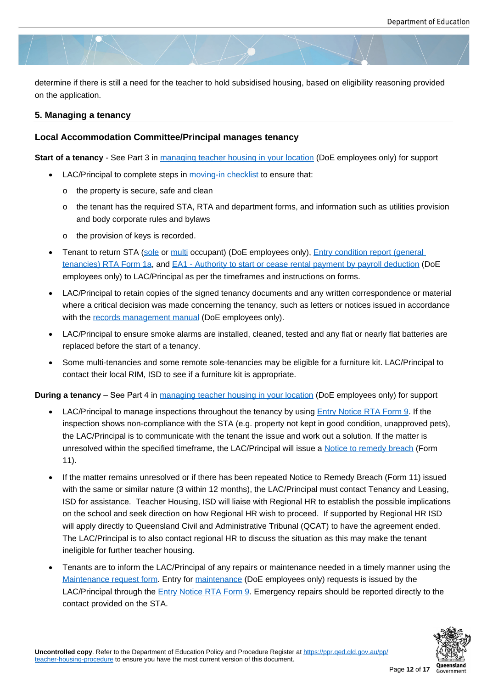determine if there is still a need for the teacher to hold subsidised housing, based on eligibility reasoning provided on the application.

#### **5. Managing a tenancy**

#### **Local Accommodation Committee/Principal manages tenancy**

**Start of a tenancy** - See Part 3 in managing teacher housing in your location (DoE employees only) for support

- LAC/Principal to complete steps in moving-in checklist to ensure that:
	- o the property is secure, [safe and clean](https://intranet.qed.qld.gov.au/Services/facilities/Documents/managing-teacher-housing-in-your-location.docx)
	- $\circ$  the tenant has the required STA, RTA and department forms, and information such as utilities provision and body corporate rules and b[ylaws](https://ppr.qed.qld.gov.au/attachment/moving-in-checklist.docx)
	- o the provision of keys is recorded.
- Tenant to return STA (sole or multi occupant) (DoE employees only), Entry condition report (general tenancies) RTA Form 1a, and EA1 - Authority to start or cease rental payment by payroll deduction (DoE employees only) to LAC/Principal as per the timeframes and instructions on forms.
- LAC/Principal to retai[n cop](https://intranet.qed.qld.gov.au/Services/facilities/Forms/Documents/SoleStateTenancyAgreementTemplate.doc)ies [of the](https://intranet.qed.qld.gov.au/Services/facilities/Forms/Documents/MultiStateTenancyAgreementTemplate.doc) signed tenancy documents and [any written correspondence or m](https://www.rta.qld.gov.au/Forms-and-publications/Forms/Forms-for-general-tenancies/Entry-condition-report-Form-1a)aterial [where a critical decision](https://www.rta.qld.gov.au/Forms-and-publications/Forms/Forms-for-general-tenancies/Entry-condition-report-Form-1a) was [made concerning the tenancy, such as letters or notices issued in acc](https://intranet.qed.qld.gov.au/Services/facilities/Forms/Documents/EA1-tenancyadviceandauthorityforrentalpaymentdeductions.docx)ordance with the records management manual (DoE employees only).
- LAC/Principal to ensure smoke alarms are installed, cleaned, tested and any flat or nearly flat batteries are replaced before the start of a tenancy.
- Some m[ulti-tenancies and some remo](https://intranet.qed.qld.gov.au/Services/InformationTechnology/information-management/information-management-toolkit/recordkeeping)te sole-tenancies may be eligible for a furniture kit. LAC/Principal to contact their local RIM, ISD to see if a furniture kit is appropriate.

**During a tenancy** – See Part 4 in managing teacher housing in your location (DoE employees only) for support

- LAC/Principal to manage inspections throughout the tenancy by using Entry Notice RTA Form 9. If the inspection shows non-compliance with the STA (e.g. property not kept in good condition, unapproved pets), the LAC/Principal is to co[mmunicate with the tenant the issue and wor](https://intranet.qed.qld.gov.au/Services/facilities/Documents/managing-teacher-housing-in-your-location.docx)k out a solution. If the matter is unresolved within the specified timeframe, the LAC/Principal will issue [a Notice to remedy breac](https://www.rta.qld.gov.au/Forms-and-publications/Forms/Forms-for-general-tenancies/Entry-condition-report-Form-1a)h (Form 11).
- If the matter remains unresolved or if there has been repeated Notice to Remedy Breach (Form 11) issued with the same or similar nature (3 within 12 months), the LAC/Principal [must contact Tenancy and](https://www.rta.qld.gov.au/forms-resources/forms/forms-for-general-tenancies/notice-to-remedy-breach-form-11) Leasing, ISD for assistance. Teacher Housing, ISD will liaise with Regional HR to establish the possible implications on the school and seek direction on how Regional HR wish to proceed. If supported by Regional HR ISD will apply directly to Queensland Civil and Administrative Tribunal (QCAT) to have the agreement ended. The LAC/Principal is to also contact regional HR to discuss the situation as this may make the tenant ineligible for further teacher housing.
- Tenants are to inform the LAC/Principal of any repairs or maintenance needed in a timely manner using the Maintenance request form. Entry for maintenance (DoE employees only) requests is issued by the LAC/Principal through the Entry Notice RTA Form 9. Emergency repairs should be reported directly to the contact provided on the STA.

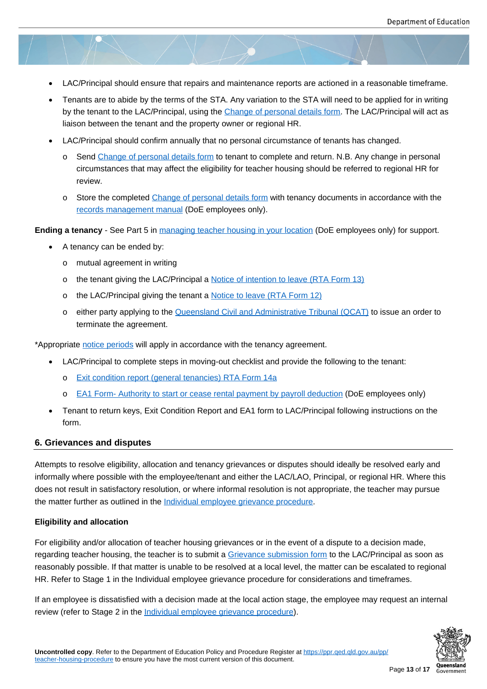- LAC/Principal should ensure that repairs and maintenance reports are actioned in a reasonable timeframe.
- Tenants are to abide by the terms of the STA. Any variation to the STA will need to be applied for in writing by the tenant to the LAC/Principal, using the Change of personal details form. The LAC/Principal will act as liaison between the tenant and the property owner or regional HR.
- LAC/Principal should confirm annually that no personal circumstance of tenants has changed.
	- o Send Change of personal details form to [tenant to complete and return. N](https://ppr.qed.qld.gov.au/attachment/change-of-personal-details-form.docx).B. Any change in personal circumstances that may affect the eligibility for teacher housing should be referred to regional HR for review.
	- o Store [the completed Chang](https://ppr.qed.qld.gov.au/attachment/change-of-personal-details-form.docx)e of [person](https://ppr.qed.qld.gov.au/attachment/change-of-personal-details-form.docx)al details form with tenancy documents in accordance with the records management manual (DoE employees only).

**Ending a tenancy** - See Part 5 [in managing teacher housing in y](https://ppr.qed.qld.gov.au/attachment/change-of-personal-details-form.docx)our location (DoE employees only) for support.

- A t[enancy can be ended by:](https://intranet.qed.qld.gov.au/Services/InformationTechnology/information-management/information-management-toolkit/recordkeeping)
	- o mutual agreement in w[riting](https://intranet.qed.qld.gov.au/Services/facilities/Documents/managing-teacher-housing-in-your-location.docx)
	- o the tenant giving the LAC/Principal a Notice of intention to leave (RTA Form 13)
	- o the LAC/Principal giving the tenant a Notice to leave (RTA Form 12)
	- o either party applying to the Queensla[nd Civil and Administrative Tribunal \(QCAT](https://www.rta.qld.gov.au/forms-resources/forms/forms-for-general-tenancies/notice-of-intention-to-leave-form-13)) to issue an order to terminate the agreement.

\*Appropriate notice periods will apply i[n accordance with the tenancy agreement.](https://www.rta.qld.gov.au/renting/ending-a-tenancy/ending-a-tenancy-agreement/qcat-order)

- LAC/Principal to complete steps in moving-out checklist and provide the following to the tenant:
	- o E[xit condition re](https://www.rta.qld.gov.au/forms-resources/fact-sheets/general-tenancy-fact-sheets/allowing-time-when-serving-notices-fact)port (general tenancies) RTA Form 14a
	- o EA1 Form- Authority to start or cease rental payment by payroll deduction (DoE employees only)
- Ten[ant to return keys, Exit Condition Report and EA1 form t](https://www.rta.qld.gov.au/Forms-and-publications/Forms/Forms-for-general-tenancies/Exit-condition-report-Form-14a)o LAC/Principal following instructions on the form.

#### **6. Grieva[nces and disputes](https://intranet.qed.qld.gov.au/Services/facilities/Forms/Documents/EA1-tenancyadviceandauthorityforrentalpaymentdeductions.docx)**

Attempts to resolve eligibility, allocation and tenancy grievances or disputes should ideally be resolved early and informally where possible with the employee/tenant and either the LAC/LAO, Principal, or regional HR. Where this does not result in satisfactory resolution, or where informal resolution is not appropriate, the teacher may pursue the matter further as outlined in the Individual employee grievance procedure.

#### **Eligibility and allocation**

For eligibility and/or allocation of te[acher housing grievances or in the event o](https://ppr.qed.qld.gov.au/pp/individual-employee-grievance-procedure)f a dispute to a decision made, regarding teacher housing, the teacher is to submit a Grievance submission form to the LAC/Principal as soon as reasonably possible. If that matter is unable to be resolved at a local level, the matter can be escalated to regional HR. Refer to Stage 1 in the Individual employee grievance procedure for considerations and timeframes.

If an employee is dissatisfied with a decision made at [the local action stage, the e](https://ppr.qed.qld.gov.au/attachment/IEG-grievance-submission-form.docx)mployee may request an internal review (refer to Stage 2 in the Individual employee grievance procedure).

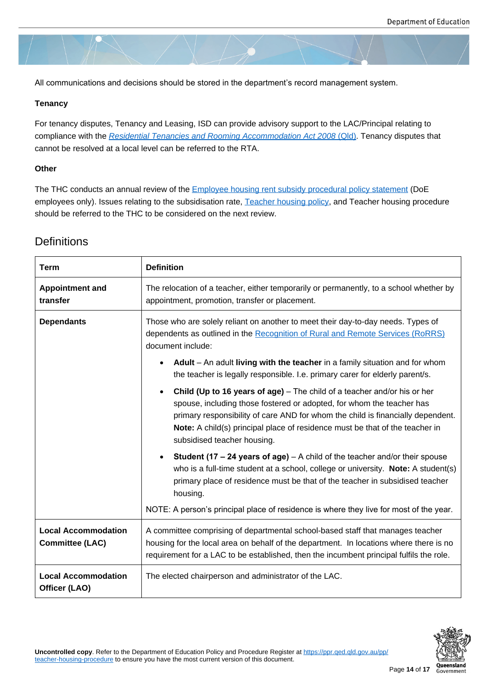All communications and decisions should be stored in the department's record management system.

#### **Tenancy**

For tenancy disputes, Tenancy and Leasing, ISD can provide advisory support to the LAC/Principal relating to compliance with the *Residential Tenancies and Rooming Accommodation Act 2008* (Qld). Tenancy disputes that cannot be resolved at a local level can be referred to the RTA.

#### **Other**

The THC conducts an annual review of the **Employee housing rent subsidy procedural policy statement** (DoE employees only). Issues relating to the subsidisation rate, Teacher housing policy, and Teacher housing procedure should be referred to the THC to be considered on the next review.

## **Definitions**

| <b>Term</b>                                 | <b>Definition</b>                                                                                                                                                                                                                                                                                                                                               |
|---------------------------------------------|-----------------------------------------------------------------------------------------------------------------------------------------------------------------------------------------------------------------------------------------------------------------------------------------------------------------------------------------------------------------|
| <b>Appointment and</b><br>transfer          | The relocation of a teacher, either temporarily or permanently, to a school whether by<br>appointment, promotion, transfer or placement.                                                                                                                                                                                                                        |
| <b>Dependants</b>                           | Those who are solely reliant on another to meet their day-to-day needs. Types of<br>dependents as outlined in the Recognition of Rural and Remote Services (RoRRS)<br>document include:<br>Adult - An adult living with the teacher in a family situation and for whom                                                                                          |
|                                             | the teacher is legally responsible. I.e. primary carer for elderly parent/s.                                                                                                                                                                                                                                                                                    |
|                                             | Child (Up to 16 years of age) - The child of a teacher and/or his or her<br>spouse, including those fostered or adopted, for whom the teacher has<br>primary responsibility of care AND for whom the child is financially dependent.<br>Note: A child(s) principal place of residence must be that of the teacher in<br>subsidised teacher housing.             |
|                                             | <b>Student (17 – 24 years of age)</b> $- A$ child of the teacher and/or their spouse<br>who is a full-time student at a school, college or university. Note: A student(s)<br>primary place of residence must be that of the teacher in subsidised teacher<br>housing.<br>NOTE: A person's principal place of residence is where they live for most of the year. |
| <b>Local Accommodation</b>                  | A committee comprising of departmental school-based staff that manages teacher                                                                                                                                                                                                                                                                                  |
| <b>Committee (LAC)</b>                      | housing for the local area on behalf of the department. In locations where there is no<br>requirement for a LAC to be established, then the incumbent principal fulfils the role.                                                                                                                                                                               |
| <b>Local Accommodation</b><br>Officer (LAO) | The elected chairperson and administrator of the LAC.                                                                                                                                                                                                                                                                                                           |

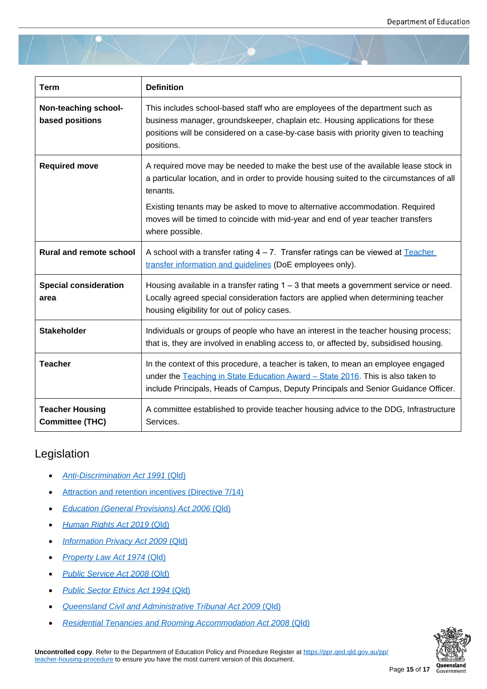| <b>Term</b>                                      | <b>Definition</b>                                                                                                                                                                                                                                                   |
|--------------------------------------------------|---------------------------------------------------------------------------------------------------------------------------------------------------------------------------------------------------------------------------------------------------------------------|
| Non-teaching school-<br>based positions          | This includes school-based staff who are employees of the department such as<br>business manager, groundskeeper, chaplain etc. Housing applications for these<br>positions will be considered on a case-by-case basis with priority given to teaching<br>positions. |
| <b>Required move</b>                             | A required move may be needed to make the best use of the available lease stock in<br>a particular location, and in order to provide housing suited to the circumstances of all<br>tenants.                                                                         |
|                                                  | Existing tenants may be asked to move to alternative accommodation. Required<br>moves will be timed to coincide with mid-year and end of year teacher transfers<br>where possible.                                                                                  |
| <b>Rural and remote school</b>                   | A school with a transfer rating $4 - 7$ . Transfer ratings can be viewed at Teacher<br>transfer information and guidelines (DoE employees only).                                                                                                                    |
| <b>Special consideration</b><br>area             | Housing available in a transfer rating $1 - 3$ that meets a government service or need.<br>Locally agreed special consideration factors are applied when determining teacher<br>housing eligibility for out of policy cases.                                        |
| <b>Stakeholder</b>                               | Individuals or groups of people who have an interest in the teacher housing process;<br>that is, they are involved in enabling access to, or affected by, subsidised housing.                                                                                       |
| <b>Teacher</b>                                   | In the context of this procedure, a teacher is taken, to mean an employee engaged<br>under the Teaching in State Education Award - State 2016. This is also taken to<br>include Principals, Heads of Campus, Deputy Principals and Senior Guidance Officer.         |
| <b>Teacher Housing</b><br><b>Committee (THC)</b> | A committee established to provide teacher housing advice to the DDG, Infrastructure<br>Services.                                                                                                                                                                   |

## Legislation

- *Anti-Discrimination Act 1991* (Qld)
- Attraction and retention incentives (Directive 7/14)
- *[Education \(General Provisions\) Ac](https://www.legislation.qld.gov.au/view/html/inforce/current/act-1991-085)t 2006* (Qld)
- *[Human Rights Act 2019](https://www.forgov.qld.gov.au/documents/directive/0714/attraction-and-retention-incentives)* [\(Qld\)](https://www.forgov.qld.gov.au/documents/directive/0714/attraction-and-retention-incentives)
- *[Information Privacy Act 2009](https://www.legislation.qld.gov.au/view/html/inforce/current/act-2006-039)* (Qld)
- *[Property Law Act 1974](https://www.legislation.qld.gov.au/view/html/inforce/current/act-2019-005)* [\(Qld\)](https://www.legislation.qld.gov.au/view/html/inforce/current/act-2019-005)
- *[Public Service Act 2008](https://www.legislation.qld.gov.au/view/html/inforce/current/act-2009-014)* (Qld[\)](https://www.legislation.qld.gov.au/view/html/inforce/current/act-2009-014)
- *[Public Sector Ethics Act 1994](https://www.legislation.qld.gov.au/view/html/inforce/current/act-1974-076)* (Qld)
- *[Queensland Civil and Adminis](https://www.legislation.qld.gov.au/view/html/inforce/current/act-2008-038)trative Tribunal Act 2009* (Qld)
- *[Residential Tenancies and Rooming](https://www.legislation.qld.gov.au/view/html/inforce/current/act-1994-067) Accommodation Act 2008* (Qld)

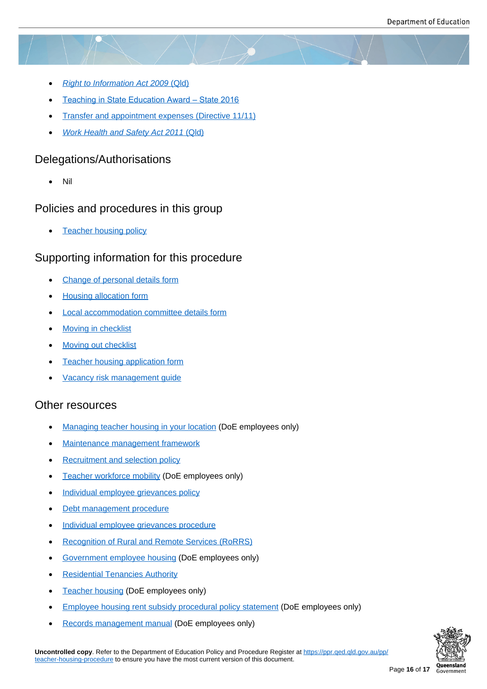- *Right to Information Act 2009* (Qld)
- Teaching in State Education Award State 2016
- [Transfer and appointment expense](https://www.legislation.qld.gov.au/view/html/inforce/current/act-2009-013)s (Directive 11/11)
- *[Work Health and Safety Act 2011](https://www.qirc.qld.gov.au/sites/default/files/teaching_state_ed_010919.pdf)* (Qld)

## Dele[gations/Authorisations](https://www.forgov.qld.gov.au/documents/directive/1111/transfer-and-appointment-expenses)

[Nil](https://www.legislation.qld.gov.au/view/html/inforce/current/act-2011-018)

## Policies and procedures in this group

Teacher housing policy

## Supporting information for this procedure

- [Change of personal det](https://ppr.qed.qld.gov.au/pp/teacher-housing-policy)ails form
- Housing allocation form
- [Local accommodation committee](https://ppr.qed.qld.gov.au/attachment/change-of-personal-details-form.docx) details form
- [Moving in checklist](https://ppr.qed.qld.gov.au/attachment/housing-allocation-form.docx)
- [Moving out checklist](https://ppr.qed.qld.gov.au/attachment/local-accommodation-committee-details-form.docx)
- [Teacher housing ap](https://ppr.qed.qld.gov.au/attachment/moving-in-checklist.docx)plication form
- [Vacancy risk manage](https://ppr.qed.qld.gov.au/attachment/moving-out-checklist.docx)ment guide

## Othe[r resources](https://ppr.qed.qld.gov.au/attachment/teacher-housing-application-form.docx)

- [Managing teacher housing in you](https://ppr.qed.qld.gov.au/attachment/vacancy-risk-management-guide.pdf)r location (DoE employees only)
- Maintenance management framework
- [Recruitment and selection policy](https://intranet.qed.qld.gov.au/Services/facilities/Documents/managing-teacher-housing-in-your-location.docx)
- [Teacher workforce mobility](http://www.hpw.qld.gov.au/FacilitiesManagement/BuildingMaintenance/MMF/Pages/Default.aspx) [\(DoE empl](http://www.hpw.qld.gov.au/FacilitiesManagement/BuildingMaintenance/MMF/Pages/Default.aspx)oyees only)
- [Individual employee grievances p](https://ppr.qed.qld.gov.au/pp/recruitment-and-selection-policy)olicy
- [Debt management](https://intranet.qed.qld.gov.au/Services/HumanResources/payrollhr/careers/managingyourcareer/Pages/workforce-mobility-principles.aspx) procedure
- **[Individual employee grievances](https://ppr.qed.qld.gov.au/pp/individual-employee-grievance-policy) procedure**
- [Recognition of Rural and Rem](https://ppr.qed.qld.gov.au/pp/debt-management-procedure)ote Services (RoRRS)
- [Government employee housing](https://ppr.qed.qld.gov.au/pp/individual-employee-grievance-procedure) [\(DoE empl](https://ppr.qed.qld.gov.au/pp/individual-employee-grievance-procedure)oyees only)
- **[Residential Tenancies Authority](https://teach.qld.gov.au/teach-in-queensland-state-schools/pay-benefits-and-incentives/rural-and-remote-benefits)**
- [Teacher housing \(DoE employe](https://intranet.qed.qld.gov.au/Services/facilities/asset-management/employee-housing)es only)
- [Employee housing rent subsidy](https://www.rta.qld.gov.au/) procedural policy statement (DoE employees only)
- [Records manage](https://intranet.qed.qld.gov.au/Services/facilities/asset-management/employee-housing/Pages/default.aspx)ment manual (DoE employees only)